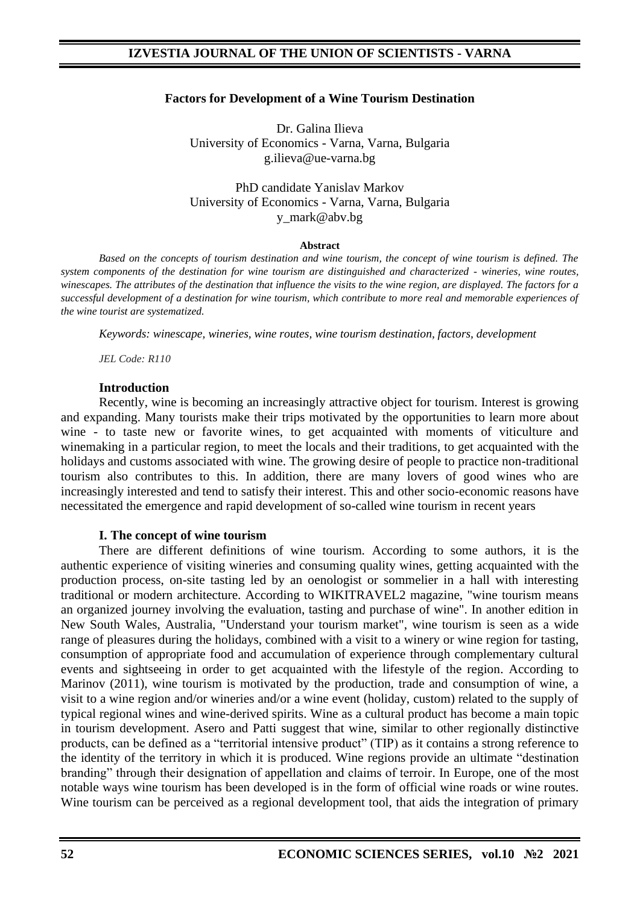### **Factors for Development of a Wine Tourism Destination**

Dr. Galina Ilieva University of Economics - Varna, Varna, Bulgaria g.ilieva@ue-varna.bg

PhD candidate Yanislav Markov University of Economics - Varna, Varna, Bulgaria y\_mark@abv.bg

#### **Abstract**

*Based on the concepts of tourism destination and wine tourism, the concept of wine tourism is defined. The system components of the destination for wine tourism are distinguished and characterized - wineries, wine routes, winescapes. The attributes of the destination that influence the visits to the wine region, are displayed. The factors for a successful development of a destination for wine tourism, which contribute to more real and memorable experiences of the wine tourist are systematized.*

*Keywords: winescape, wineries, wine routes, wine tourism destination, factors, development*

*JEL Code: R110*

#### **Introduction**

Recently, wine is becoming an increasingly attractive object for tourism. Interest is growing and expanding. Many tourists make their trips motivated by the opportunities to learn more about wine - to taste new or favorite wines, to get acquainted with moments of viticulture and winemaking in a particular region, to meet the locals and their traditions, to get acquainted with the holidays and customs associated with wine. The growing desire of people to practice non-traditional tourism also contributes to this. In addition, there are many lovers of good wines who are increasingly interested and tend to satisfy their interest. This and other socio-economic reasons have necessitated the emergence and rapid development of so-called wine tourism in recent years

### **I. Тhe concept of wine tourism**

There are different definitions of wine tourism. According to some authors, it is the authentic experience of visiting wineries and consuming quality wines, getting acquainted with the production process, on-site tasting led by an oenologist or sommelier in a hall with interesting traditional or modern architecture. According to WIKITRAVEL2 magazine, "wine tourism means an organized journey involving the evaluation, tasting and purchase of wine". In another edition in New South Wales, Australia, "Understand your tourism market", wine tourism is seen as a wide range of pleasures during the holidays, combined with a visit to a winery or wine region for tasting, consumption of appropriate food and accumulation of experience through complementary cultural events and sightseeing in order to get acquainted with the lifestyle of the region. According to Marinov (2011), wine tourism is motivated by the production, trade and consumption of wine, a visit to a wine region and/or wineries and/or a wine event (holiday, custom) related to the supply of typical regional wines and wine-derived spirits. Wine as a cultural product has become a main topic in tourism development. Asero and Patti suggest that wine, similar to other regionally distinctive products, can be defined as a "territorial intensive product" (TIP) as it contains a strong reference to the identity of the territory in which it is produced. Wine regions provide an ultimate "destination branding" through their designation of appellation and claims of terroir. In Europe, one of the most notable ways wine tourism has been developed is in the form of official wine roads or wine routes. Wine tourism can be perceived as a regional development tool, that aids the integration of primary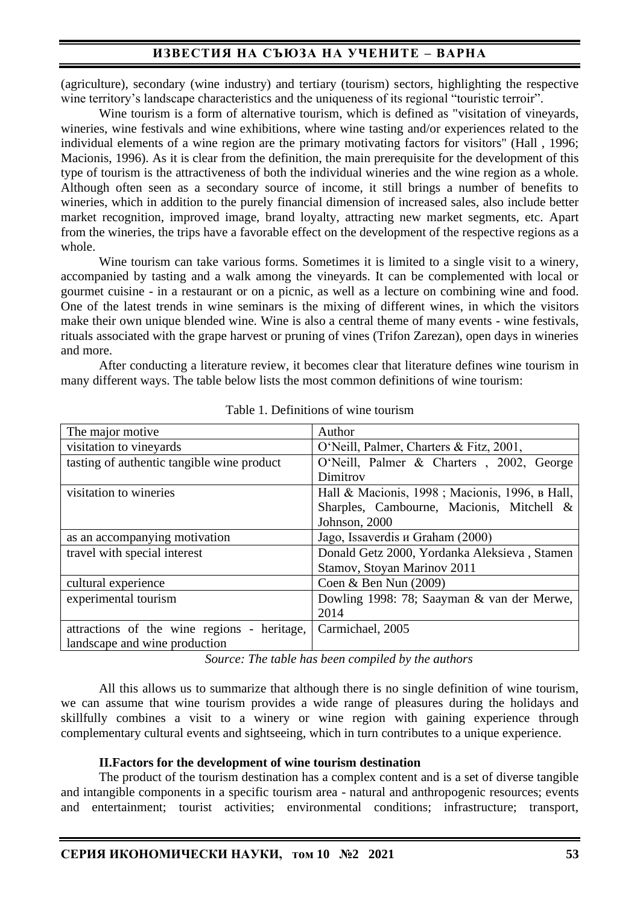(agriculture), secondary (wine industry) and tertiary (tourism) sectors, highlighting the respective wine territory's landscape characteristics and the uniqueness of its regional "touristic terroir".

Wine tourism is a form of alternative tourism, which is defined as "visitation of vineyards, wineries, wine festivals and wine exhibitions, where wine tasting and/or experiences related to the individual elements of a wine region are the primary motivating factors for visitors" (Hall , 1996; Macionis, 1996). As it is clear from the definition, the main prerequisite for the development of this type of tourism is the attractiveness of both the individual wineries and the wine region as a whole. Although often seen as a secondary source of income, it still brings a number of benefits to wineries, which in addition to the purely financial dimension of increased sales, also include better market recognition, improved image, brand loyalty, attracting new market segments, etc. Apart from the wineries, the trips have a favorable effect on the development of the respective regions as a whole.

Wine tourism can take various forms. Sometimes it is limited to a single visit to a winery, accompanied by tasting and a walk among the vineyards. It can be complemented with local or gourmet cuisine - in a restaurant or on a picnic, as well as a lecture on combining wine and food. One of the latest trends in wine seminars is the mixing of different wines, in which the visitors make their own unique blended wine. Wine is also a central theme of many events - wine festivals, rituals associated with the grape harvest or pruning of vines (Trifon Zarezan), open days in wineries and more.

After conducting a literature review, it becomes clear that literature defines wine tourism in many different ways. The table below lists the most common definitions of wine tourism:

| The major motive                            | Author                                         |
|---------------------------------------------|------------------------------------------------|
| visitation to vineyards                     | O'Neill, Palmer, Charters & Fitz, 2001,        |
| tasting of authentic tangible wine product  | O'Neill, Palmer & Charters, 2002, George       |
|                                             | Dimitrov                                       |
| visitation to wineries                      | Hall & Macionis, 1998; Macionis, 1996, в Hall, |
|                                             | Sharples, Cambourne, Macionis, Mitchell &      |
|                                             | Johnson, 2000                                  |
| as an accompanying motivation               | Jago, Issaverdis и Graham (2000)               |
| travel with special interest                | Donald Getz 2000, Yordanka Aleksieva, Stamen   |
|                                             | Stamov, Stoyan Marinov 2011                    |
| cultural experience                         | Coen & Ben Nun $(2009)$                        |
| experimental tourism                        | Dowling 1998: 78; Saayman & van der Merwe,     |
|                                             | 2014                                           |
| attractions of the wine regions - heritage, | Carmichael, 2005                               |
| landscape and wine production               |                                                |

Table 1. Definitions of wine tourism

*Source: The table has been compiled by the authors*

All this allows us to summarize that although there is no single definition of wine tourism, we can assume that wine tourism provides a wide range of pleasures during the holidays and skillfully combines a visit to a winery or wine region with gaining experience through complementary cultural events and sightseeing, which in turn contributes to a unique experience.

### **II.Factors for the development of wine tourism destination**

The product of the tourism destination has a complex content and is a set of diverse tangible and intangible components in a specific tourism area - natural and anthropogenic resources; events and entertainment; tourist activities; environmental conditions; infrastructure; transport,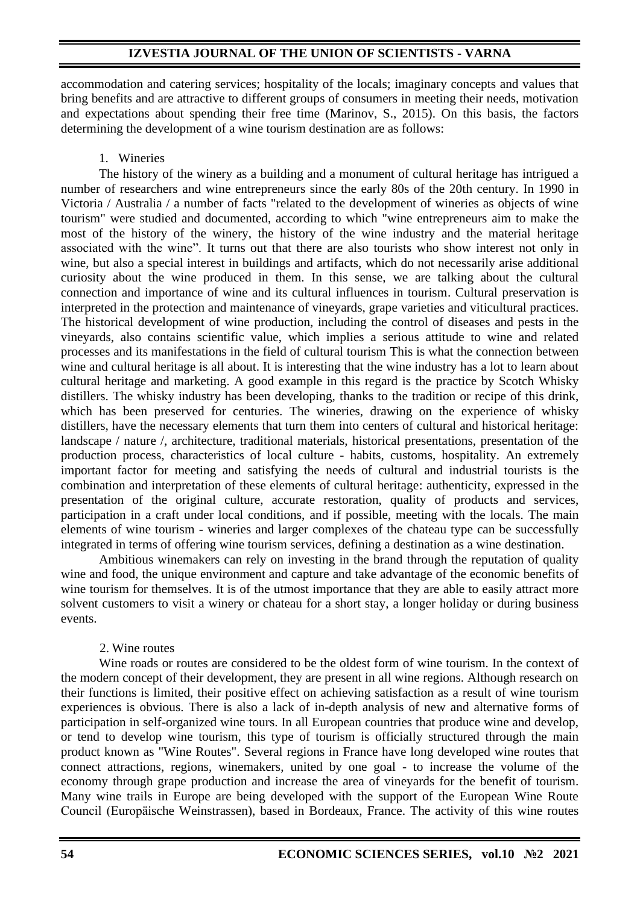accommodation and catering services; hospitality of the locals; imaginary concepts and values that bring benefits and are attractive to different groups of consumers in meeting their needs, motivation and expectations about spending their free time (Marinov, S., 2015). On this basis, the factors determining the development of a wine tourism destination are as follows:

### 1. Wineries

The history of the winery as a building and a monument of cultural heritage has intrigued a number of researchers and wine entrepreneurs since the early 80s of the 20th century. In 1990 in Victoria / Australia / a number of facts "related to the development of wineries as objects of wine tourism" were studied and documented, according to which "wine entrepreneurs aim to make the most of the history of the winery, the history of the wine industry and the material heritage associated with the wine". It turns out that there are also tourists who show interest not only in wine, but also a special interest in buildings and artifacts, which do not necessarily arise additional curiosity about the wine produced in them. In this sense, we are talking about the cultural connection and importance of wine and its cultural influences in tourism. Cultural preservation is interpreted in the protection and maintenance of vineyards, grape varieties and viticultural practices. The historical development of wine production, including the control of diseases and pests in the vineyards, also contains scientific value, which implies a serious attitude to wine and related processes and its manifestations in the field of cultural tourism This is what the connection between wine and cultural heritage is all about. It is interesting that the wine industry has a lot to learn about cultural heritage and marketing. A good example in this regard is the practice by Scotch Whisky distillers. The whisky industry has been developing, thanks to the tradition or recipe of this drink, which has been preserved for centuries. The wineries, drawing on the experience of whisky distillers, have the necessary elements that turn them into centers of cultural and historical heritage: landscape / nature /, architecture, traditional materials, historical presentations, presentation of the production process, characteristics of local culture - habits, customs, hospitality. An extremely important factor for meeting and satisfying the needs of cultural and industrial tourists is the combination and interpretation of these elements of cultural heritage: authenticity, expressed in the presentation of the original culture, accurate restoration, quality of products and services, participation in a craft under local conditions, and if possible, meeting with the locals. The main elements of wine tourism - wineries and larger complexes of the chateau type can be successfully integrated in terms of offering wine tourism services, defining a destination as a wine destination.

Ambitious winemakers can rely on investing in the brand through the reputation of quality wine and food, the unique environment and capture and take advantage of the economic benefits of wine tourism for themselves. It is of the utmost importance that they are able to easily attract more solvent customers to visit a winery or chateau for a short stay, a longer holiday or during business events.

## 2. Wine routes

Wine roads or routes are considered to be the oldest form of wine tourism. In the context of the modern concept of their development, they are present in all wine regions. Although research on their functions is limited, their positive effect on achieving satisfaction as a result of wine tourism experiences is obvious. There is also a lack of in-depth analysis of new and alternative forms of participation in self-organized wine tours. In all European countries that produce wine and develop, or tend to develop wine tourism, this type of tourism is officially structured through the main product known as "Wine Routes". Several regions in France have long developed wine routes that connect attractions, regions, winemakers, united by one goal - to increase the volume of the economy through grape production and increase the area of vineyards for the benefit of tourism. Many wine trails in Europe are being developed with the support of the European Wine Route Council (Europäische Weinstrassen), based in Bordeaux, France. The activity of this wine routes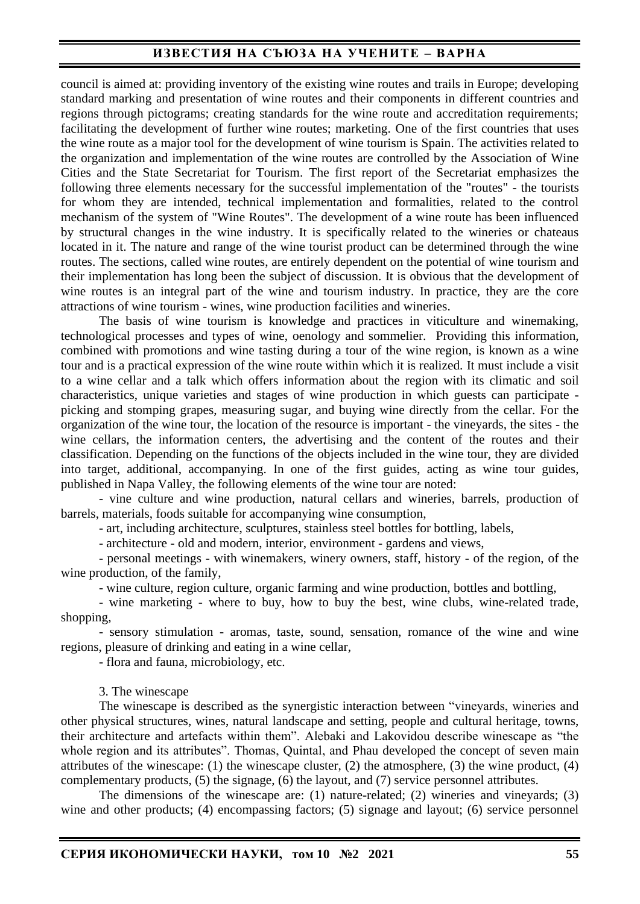council is aimed at: providing inventory of the existing wine routes and trails in Europe; developing standard marking and presentation of wine routes and their components in different countries and regions through pictograms; creating standards for the wine route and accreditation requirements; facilitating the development of further wine routes; marketing. One of the first countries that uses the wine route as a major tool for the development of wine tourism is Spain. The activities related to the organization and implementation of the wine routes are controlled by the Association of Wine Cities and the State Secretariat for Tourism. The first report of the Secretariat emphasizes the following three elements necessary for the successful implementation of the "routes" - the tourists for whom they are intended, technical implementation and formalities, related to the control mechanism of the system of "Wine Routes". The development of a wine route has been influenced by structural changes in the wine industry. It is specifically related to the wineries or chateaus located in it. The nature and range of the wine tourist product can be determined through the wine routes. The sections, called wine routes, are entirely dependent on the potential of wine tourism and their implementation has long been the subject of discussion. It is obvious that the development of wine routes is an integral part of the wine and tourism industry. In practice, they are the core attractions of wine tourism - wines, wine production facilities and wineries.

The basis of wine tourism is knowledge and practices in viticulture and winemaking, technological processes and types of wine, oenology and sommelier. Providing this information, combined with promotions and wine tasting during a tour of the wine region, is known as a wine tour and is a practical expression of the wine route within which it is realized. It must include a visit to a wine cellar and a talk which offers information about the region with its climatic and soil characteristics, unique varieties and stages of wine production in which guests can participate picking and stomping grapes, measuring sugar, and buying wine directly from the cellar. For the organization of the wine tour, the location of the resource is important - the vineyards, the sites - the wine cellars, the information centers, the advertising and the content of the routes and their classification. Depending on the functions of the objects included in the wine tour, they are divided into target, additional, accompanying. In one of the first guides, acting as wine tour guides, published in Napa Valley, the following elements of the wine tour are noted:

- vine culture and wine production, natural cellars and wineries, barrels, production of barrels, materials, foods suitable for accompanying wine consumption,

- art, including architecture, sculptures, stainless steel bottles for bottling, labels,

- architecture - old and modern, interior, environment - gardens and views,

- personal meetings - with winemakers, winery owners, staff, history - of the region, of the wine production, of the family,

- wine culture, region culture, organic farming and wine production, bottles and bottling,

- wine marketing - where to buy, how to buy the best, wine clubs, wine-related trade, shopping,

- sensory stimulation - aromas, taste, sound, sensation, romance of the wine and wine regions, pleasure of drinking and eating in a wine cellar,

- flora and fauna, microbiology, etc.

#### 3. The winescape

The winescape is described as the synergistic interaction between "vineyards, wineries and other physical structures, wines, natural landscape and setting, people and cultural heritage, towns, their architecture and artefacts within them". Alebaki and Lakovidou describe winescape as "the whole region and its attributes". Thomas, Quintal, and Phau developed the concept of seven main attributes of the winescape: (1) the winescape cluster, (2) the atmosphere, (3) the wine product, (4) complementary products, (5) the signage, (6) the layout, and (7) service personnel attributes.

The dimensions of the winescape are: (1) nature-related; (2) wineries and vineyards; (3) wine and other products; (4) encompassing factors; (5) signage and layout; (6) service personnel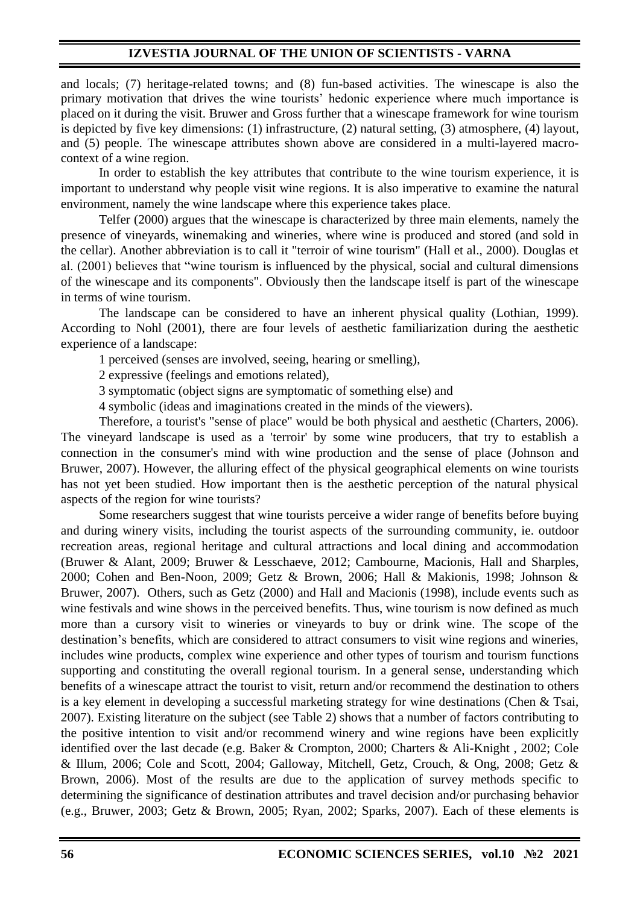and locals; (7) heritage-related towns; and (8) fun-based activities. The winescape is also the primary motivation that drives the wine tourists' hedonic experience where much importance is placed on it during the visit. Bruwer and Gross further that a winescape framework for wine tourism is depicted by five key dimensions: (1) infrastructure, (2) natural setting, (3) atmosphere, (4) layout, and (5) people. The winescape attributes shown above are considered in a multi-layered macrocontext of a wine region.

In order to establish the key attributes that contribute to the wine tourism experience, it is important to understand why people visit wine regions. It is also imperative to examine the natural environment, namely the wine landscape where this experience takes place.

Telfer (2000) argues that the winescape is characterized by three main elements, namely the presence of vineyards, winemaking and wineries, where wine is produced and stored (and sold in the cellar). Another abbreviation is to call it "terroir of wine tourism" (Hall et al., 2000). Douglas et al. (2001) believes that "wine tourism is influenced by the physical, social and cultural dimensions of the winescape and its components". Obviously then the landscape itself is part of the winescape in terms of wine tourism.

The landscape can be considered to have an inherent physical quality (Lothian, 1999). According to Nohl (2001), there are four levels of aesthetic familiarization during the aesthetic experience of a landscape:

1 perceived (senses are involved, seeing, hearing or smelling),

2 expressive (feelings and emotions related),

3 symptomatic (object signs are symptomatic of something else) and

4 symbolic (ideas and imaginations created in the minds of the viewers).

Therefore, a tourist's "sense of place" would be both physical and aesthetic (Charters, 2006). The vineyard landscape is used as a 'terroir' by some wine producers, that try to establish a connection in the consumer's mind with wine production and the sense of place (Johnson and Bruwer, 2007). However, the alluring effect of the physical geographical elements on wine tourists has not yet been studied. How important then is the aesthetic perception of the natural physical aspects of the region for wine tourists?

Some researchers suggest that wine tourists perceive a wider range of benefits before buying and during winery visits, including the tourist aspects of the surrounding community, ie. outdoor recreation areas, regional heritage and cultural attractions and local dining and accommodation (Bruwer & Alant, 2009; Bruwer & Lesschaeve, 2012; Cambourne, Macionis, Hall and Sharples, 2000; Cohen and Ben-Noon, 2009; Getz & Brown, 2006; Hall & Makionis, 1998; Johnson & Bruwer, 2007). Others, such as Getz (2000) and Hall and Macionis (1998), include events such as wine festivals and wine shows in the perceived benefits. Thus, wine tourism is now defined as much more than a cursory visit to wineries or vineyards to buy or drink wine. The scope of the destination's benefits, which are considered to attract consumers to visit wine regions and wineries, includes wine products, complex wine experience and other types of tourism and tourism functions supporting and constituting the overall regional tourism. In a general sense, understanding which benefits of a winescape attract the tourist to visit, return and/or recommend the destination to others is a key element in developing a successful marketing strategy for wine destinations (Chen & Tsai, 2007). Existing literature on the subject (see Table 2) shows that a number of factors contributing to the positive intention to visit and/or recommend winery and wine regions have been explicitly identified over the last decade (e.g. Baker & Crompton, 2000; Charters & Ali-Knight , 2002; Cole & Illum, 2006; Cole and Scott, 2004; Galloway, Mitchell, Getz, Crouch, & Ong, 2008; Getz & Brown, 2006). Most of the results are due to the application of survey methods specific to determining the significance of destination attributes and travel decision and/or purchasing behavior (e.g., Bruwer, 2003; Getz & Brown, 2005; Ryan, 2002; Sparks, 2007). Each of these elements is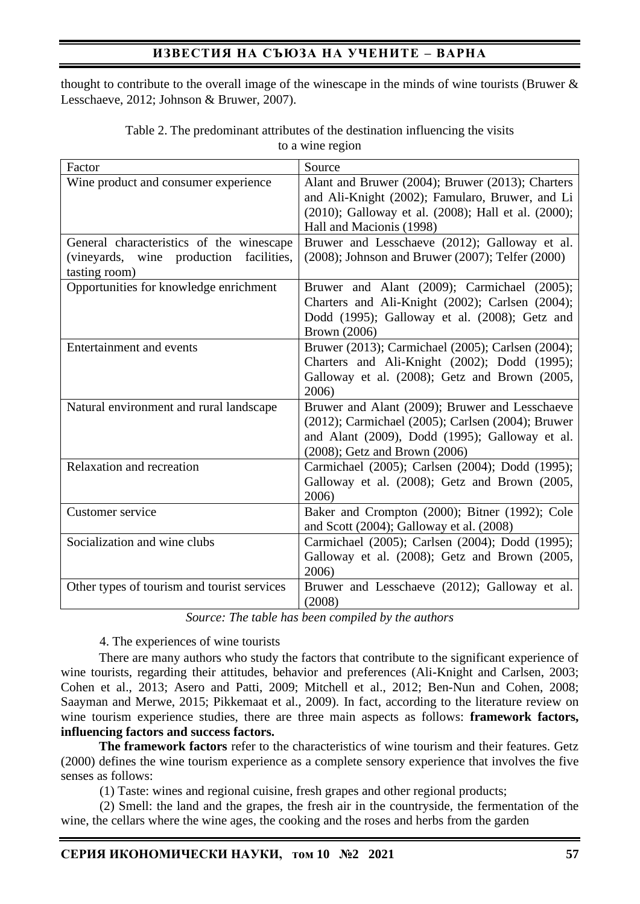thought to contribute to the overall image of the winescape in the minds of wine tourists (Bruwer & Lesschaeve, 2012; Johnson & Bruwer, 2007).

| Factor                                                                                                        | Source                                                                                                                                                                                 |
|---------------------------------------------------------------------------------------------------------------|----------------------------------------------------------------------------------------------------------------------------------------------------------------------------------------|
| Wine product and consumer experience                                                                          | Alant and Bruwer (2004); Bruwer (2013); Charters<br>and Ali-Knight (2002); Famularo, Bruwer, and Li<br>(2010); Galloway et al. (2008); Hall et al. (2000);<br>Hall and Macionis (1998) |
| General characteristics of the winescape<br>facilities,<br>(vineyards,<br>production<br>wine<br>tasting room) | Bruwer and Lesschaeve (2012); Galloway et al.<br>$(2008)$ ; Johnson and Bruwer $(2007)$ ; Telfer $(2000)$                                                                              |
| Opportunities for knowledge enrichment                                                                        | Bruwer and Alant (2009); Carmichael (2005);<br>Charters and Ali-Knight (2002); Carlsen (2004);<br>Dodd (1995); Galloway et al. (2008); Getz and<br><b>Brown</b> (2006)                 |
| Entertainment and events                                                                                      | Bruwer (2013); Carmichael (2005); Carlsen (2004);<br>Charters and Ali-Knight (2002); Dodd (1995);<br>Galloway et al. (2008); Getz and Brown (2005,<br>2006)                            |
| Natural environment and rural landscape                                                                       | Bruwer and Alant (2009); Bruwer and Lesschaeve<br>(2012); Carmichael (2005); Carlsen (2004); Bruwer<br>and Alant (2009), Dodd (1995); Galloway et al.<br>(2008); Getz and Brown (2006) |
| Relaxation and recreation                                                                                     | Carmichael (2005); Carlsen (2004); Dodd (1995);<br>Galloway et al. (2008); Getz and Brown (2005,<br>2006)                                                                              |
| Customer service                                                                                              | Baker and Crompton (2000); Bitner (1992); Cole<br>and Scott $(2004)$ ; Galloway et al. $(2008)$                                                                                        |
| Socialization and wine clubs                                                                                  | Carmichael (2005); Carlsen (2004); Dodd (1995);<br>Galloway et al. (2008); Getz and Brown (2005,<br>2006)                                                                              |
| Other types of tourism and tourist services                                                                   | Bruwer and Lesschaeve (2012); Galloway et al.<br>(2008)                                                                                                                                |

Table 2. The predominant attributes of the destination influencing the visits to a wine region

*Source: The table has been compiled by the authors*

## 4. The experiences of wine tourists

There are many authors who study the factors that contribute to the significant experience of wine tourists, regarding their attitudes, behavior and preferences (Ali-Knight and Carlsen, 2003; Cohen et al., 2013; Asero and Patti, 2009; Mitchell et al., 2012; Ben-Nun and Cohen, 2008; Saayman and Merwe, 2015; Pikkemaat et al., 2009). In fact, according to the literature review on wine tourism experience studies, there are three main aspects as follows: **framework factors, influencing factors and success factors.**

**The framework factors** refer to the characteristics of wine tourism and their features. Getz (2000) defines the wine tourism experience as a complete sensory experience that involves the five senses as follows:

(1) Taste: wines and regional cuisine, fresh grapes and other regional products;

(2) Smell: the land and the grapes, the fresh air in the countryside, the fermentation of the wine, the cellars where the wine ages, the cooking and the roses and herbs from the garden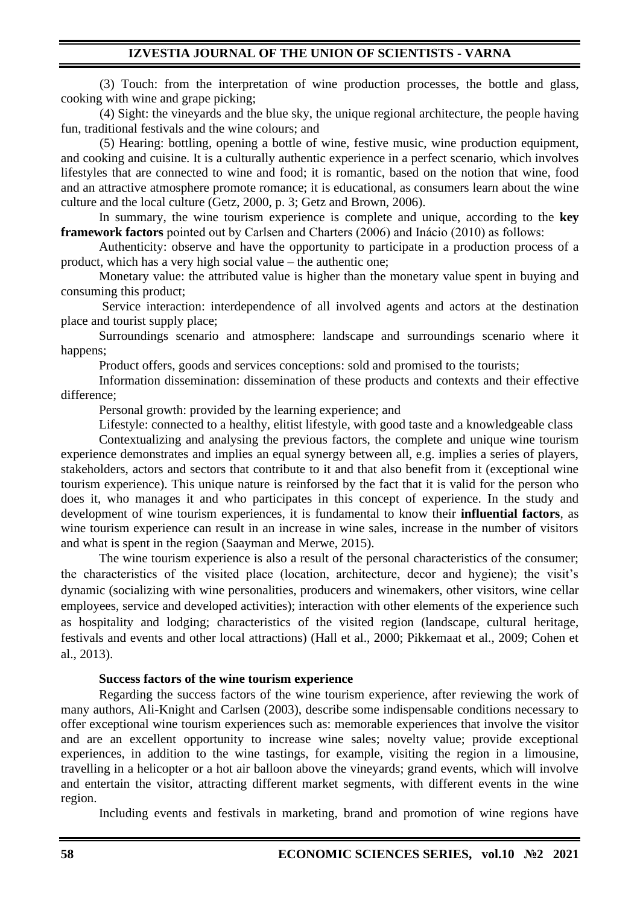(3) Touch: from the interpretation of wine production processes, the bottle and glass, cooking with wine and grape picking;

(4) Sight: the vineyards and the blue sky, the unique regional architecture, the people having fun, traditional festivals and the wine colours; and

(5) Hearing: bottling, opening a bottle of wine, festive music, wine production equipment, and cooking and cuisine. It is a culturally authentic experience in a perfect scenario, which involves lifestyles that are connected to wine and food; it is romantic, based on the notion that wine, food and an attractive atmosphere promote romance; it is educational, as consumers learn about the wine culture and the local culture (Getz, 2000, p. 3; Getz and Brown, 2006).

In summary, the wine tourism experience is complete and unique, according to the **key framework factors** pointed out by Carlsen and Charters (2006) and Inácio (2010) as follows:

Authenticity: observe and have the opportunity to participate in a production process of a product, which has a very high social value – the authentic one;

Monetary value: the attributed value is higher than the monetary value spent in buying and consuming this product;

Service interaction: interdependence of all involved agents and actors at the destination place and tourist supply place;

 Surroundings scenario and atmosphere: landscape and surroundings scenario where it happens;

Product offers, goods and services conceptions: sold and promised to the tourists;

Information dissemination: dissemination of these products and contexts and their effective difference;

Personal growth: provided by the learning experience; and

Lifestyle: connected to a healthy, elitist lifestyle, with good taste and a knowledgeable class

Contextualizing and analysing the previous factors, the complete and unique wine tourism experience demonstrates and implies an equal synergy between all, e.g. implies a series of players, stakeholders, actors and sectors that contribute to it and that also benefit from it (exceptional wine tourism experience). This unique nature is reinforsed by the fact that it is valid for the person who does it, who manages it and who participates in this concept of experience. In the study and development of wine tourism experiences, it is fundamental to know their **influential factors**, as wine tourism experience can result in an increase in wine sales, increase in the number of visitors and what is spent in the region (Saayman and Merwe, 2015).

The wine tourism experience is also a result of the personal characteristics of the consumer; the characteristics of the visited place (location, architecture, decor and hygiene); the visit's dynamic (socializing with wine personalities, producers and winemakers, other visitors, wine cellar employees, service and developed activities); interaction with other elements of the experience such as hospitality and lodging; characteristics of the visited region (landscape, cultural heritage, festivals and events and other local attractions) (Hall et al., 2000; Pikkemaat et al., 2009; Cohen et al., 2013).

### **Success factors of the wine tourism experience**

Regarding the success factors of the wine tourism experience, after reviewing the work of many authors, Ali-Knight and Carlsen (2003), describe some indispensable conditions necessary to offer exceptional wine tourism experiences such as: memorable experiences that involve the visitor and are an excellent opportunity to increase wine sales; novelty value; provide exceptional experiences, in addition to the wine tastings, for example, visiting the region in a limousine, travelling in a helicopter or a hot air balloon above the vineyards; grand events, which will involve and entertain the visitor, attracting different market segments, with different events in the wine region.

Including events and festivals in marketing, brand and promotion of wine regions have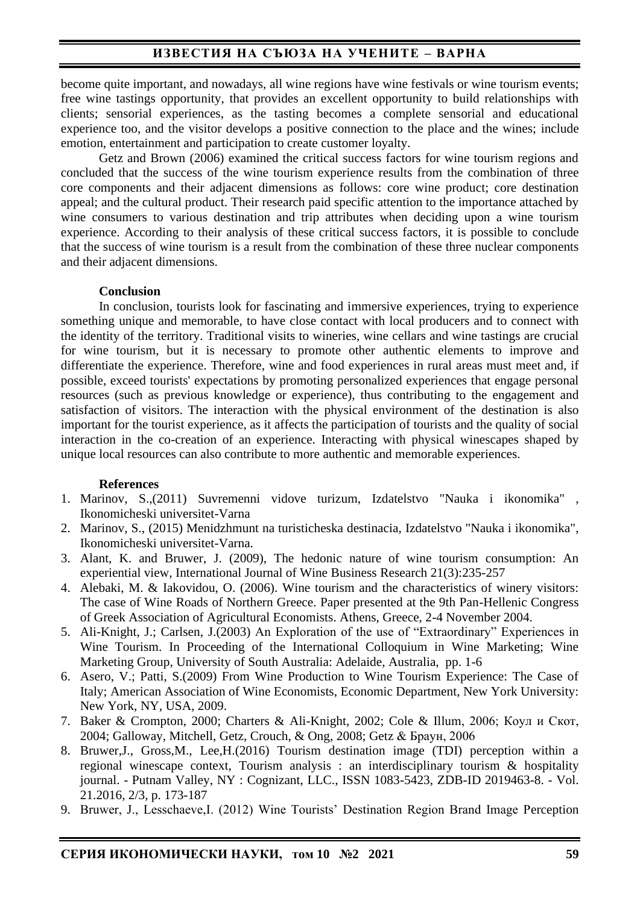become quite important, and nowadays, all wine regions have wine festivals or wine tourism events; free wine tastings opportunity, that provides an excellent opportunity to build relationships with clients; sensorial experiences, as the tasting becomes a complete sensorial and educational experience too, and the visitor develops a positive connection to the place and the wines; include emotion, entertainment and participation to create customer loyalty.

Getz and Brown (2006) examined the critical success factors for wine tourism regions and concluded that the success of the wine tourism experience results from the combination of three core components and their adjacent dimensions as follows: core wine product; core destination appeal; and the cultural product. Their research paid specific attention to the importance attached by wine consumers to various destination and trip attributes when deciding upon a wine tourism experience. According to their analysis of these critical success factors, it is possible to conclude that the success of wine tourism is a result from the combination of these three nuclear components and their adjacent dimensions.

### **Conclusion**

In conclusion, tourists look for fascinating and immersive experiences, trying to experience something unique and memorable, to have close contact with local producers and to connect with the identity of the territory. Traditional visits to wineries, wine cellars and wine tastings are crucial for wine tourism, but it is necessary to promote other authentic elements to improve and differentiate the experience. Therefore, wine and food experiences in rural areas must meet and, if possible, exceed tourists' expectations by promoting personalized experiences that engage personal resources (such as previous knowledge or experience), thus contributing to the engagement and satisfaction of visitors. The interaction with the physical environment of the destination is also important for the tourist experience, as it affects the participation of tourists and the quality of social interaction in the co-creation of an experience. Interacting with physical winescapes shaped by unique local resources can also contribute to more authentic and memorable experiences.

#### **References**

- 1. Marinov, S.,(2011) Suvremenni vidove turizum, Izdatelstvo "Nauka i ikonomika" , Ikonomicheski universitet-Varna
- 2. Marinov, S., (2015) Menidzhmunt na turisticheska destinacia, Izdatelstvo "Nauka i ikonomika", Ikonomicheski universitet-Varna.
- 3. Alant, K. and Bruwer, J. (2009), The hedonic nature of wine tourism consumption: An experiential view, International Journal of Wine Business Research 21(3):235-257
- 4. Alebaki, M. & Iakovidou, O. (2006). Wine tourism and the characteristics of winery visitors: The case of Wine Roads of Northern Greece. Paper presented at the 9th Pan-Hellenic Congress of Greek Association of Agricultural Economists. Athens, Greece, 2-4 November 2004.
- 5. Ali-Knight, J.; Carlsen, J.(2003) An Exploration of the use of "Extraordinary" Experiences in Wine Tourism. In Proceeding of the International Colloquium in Wine Marketing; Wine Marketing Group, University of South Australia: Adelaide, Australia, pp. 1-6
- 6. Asero, V.; Patti, S.(2009) From Wine Production to Wine Tourism Experience: The Case of Italy; American Association of Wine Economists, Economic Department, New York University: New York, NY, USA, 2009.
- 7. Baker & Crompton, 2000; Charters & Ali-Knight, 2002; Cole & Illum, 2006; Коул и Скот, 2004; Galloway, Mitchell, Getz, Crouch, & Ong, 2008; Getz & Браун, 2006
- 8. Bruwer,J., Gross,M., Lee,H.(2016) Tourism destination image (TDI) perception within a regional winescape context, Tourism analysis : an interdisciplinary tourism & hospitality journal. - Putnam Valley, NY : Cognizant, LLC., ISSN 1083-5423, ZDB-ID 2019463-8. - Vol. 21.2016, 2/3, p. 173-187
- 9. Bruwer, J., Lesschaeve,I. (2012) Wine Tourists' Destination Region Brand Image Perception